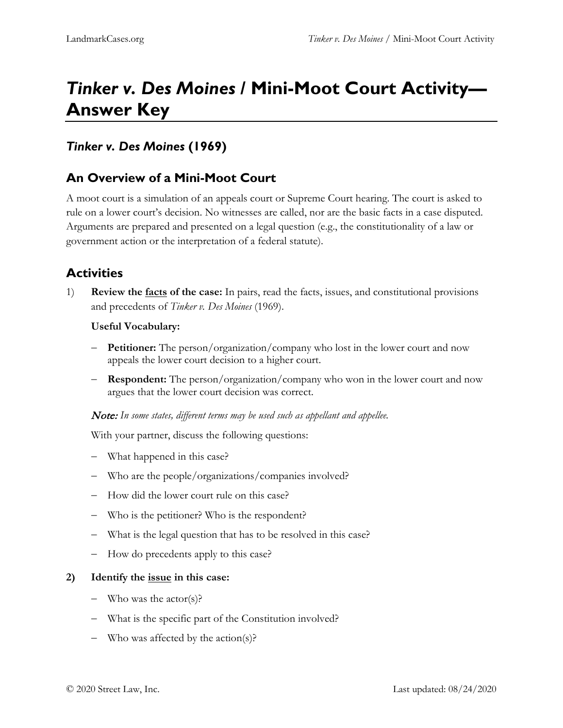# *Tinker v. Des Moines* **/ Mini-Moot Court Activity— Answer Key**

## *Tinker v. Des Moines* **(1969)**

## **An Overview of a Mini-Moot Court**

A moot court is a simulation of an appeals court or Supreme Court hearing. The court is asked to rule on a lower court's decision. No witnesses are called, nor are the basic facts in a case disputed. Arguments are prepared and presented on a legal question (e.g., the constitutionality of a law or government action or the interpretation of a federal statute).

# **Activities**

1) **Review the facts of the case:** In pairs, read the facts, issues, and constitutional provisions and precedents of *Tinker v. Des Moines* (1969).

#### **Useful Vocabulary:**

- − **Petitioner:** The person/organization/company who lost in the lower court and now appeals the lower court decision to a higher court.
- − **Respondent:** The person/organization/company who won in the lower court and now argues that the lower court decision was correct.

Note: *In some states, different terms may be used such as appellant and appellee.*

With your partner, discuss the following questions:

- − What happened in this case?
- − Who are the people/organizations/companies involved?
- − How did the lower court rule on this case?
- − Who is the petitioner? Who is the respondent?
- − What is the legal question that has to be resolved in this case?
- − How do precedents apply to this case?

#### **2) Identify the issue in this case:**

- − Who was the actor(s)?
- − What is the specific part of the Constitution involved?
- − Who was affected by the action(s)?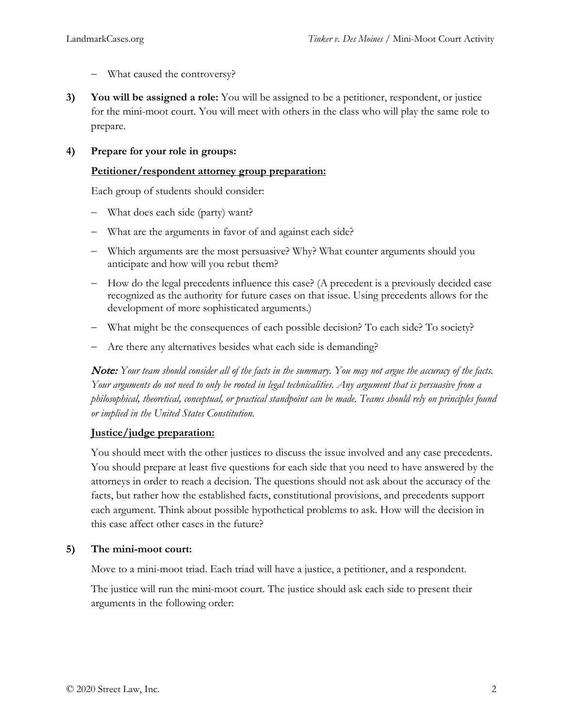- − What caused the controversy?
- **3) You will be assigned a role:** You will be assigned to be a petitioner, respondent, or justice for the mini-moot court. You will meet with others in the class who will play the same role to prepare.

#### **4) Prepare for your role in groups:**

#### **Petitioner/respondent attorney group preparation:**

Each group of students should consider:

- − What does each side (party) want?
- − What are the arguments in favor of and against each side?
- − Which arguments are the most persuasive? Why? What counter arguments should you anticipate and how will you rebut them?
- − How do the legal precedents influence this case? (A precedent is a previously decided case recognized as the authority for future cases on that issue. Using precedents allows for the development of more sophisticated arguments.)
- − What might be the consequences of each possible decision? To each side? To society?
- − Are there any alternatives besides what each side is demanding?

Note: *Your team should consider all of the facts in the summary. You may not argue the accuracy of the facts. Your arguments do not need to only be rooted in legal technicalities. Any argument that is persuasive from a philosophical, theoretical, conceptual, or practical standpoint can be made. Teams should rely on principles found or implied in the United States Constitution.*

#### **Justice/judge preparation:**

You should meet with the other justices to discuss the issue involved and any case precedents. You should prepare at least five questions for each side that you need to have answered by the attorneys in order to reach a decision. The questions should not ask about the accuracy of the facts, but rather how the established facts, constitutional provisions, and precedents support each argument. Think about possible hypothetical problems to ask. How will the decision in this case affect other cases in the future?

#### **5) The mini-moot court:**

Move to a mini-moot triad. Each triad will have a justice, a petitioner, and a respondent.

The justice will run the mini-moot court. The justice should ask each side to present their arguments in the following order: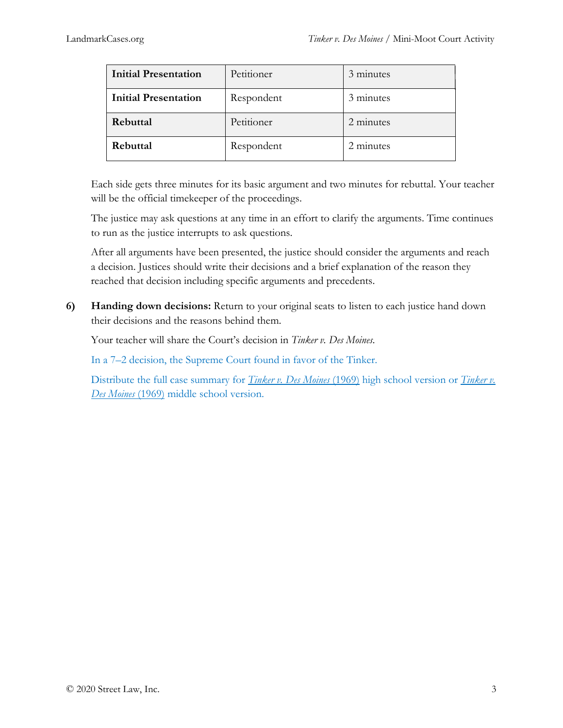| <b>Initial Presentation</b> | Petitioner | 3 minutes |
|-----------------------------|------------|-----------|
| <b>Initial Presentation</b> | Respondent | 3 minutes |
| Rebuttal                    | Petitioner | 2 minutes |
| Rebuttal                    | Respondent | 2 minutes |

Each side gets three minutes for its basic argument and two minutes for rebuttal. Your teacher will be the official timekeeper of the proceedings.

The justice may ask questions at any time in an effort to clarify the arguments. Time continues to run as the justice interrupts to ask questions.

After all arguments have been presented, the justice should consider the arguments and reach a decision. Justices should write their decisions and a brief explanation of the reason they reached that decision including specific arguments and precedents.

**6) Handing down decisions:** Return to your original seats to listen to each justice hand down their decisions and the reasons behind them.

Your teacher will share the Court's decision in *Tinker v. Des Moines*.

In a 7–2 decision, the Supreme Court found in favor of the Tinker.

Distribute the full case summary for *[Tinker v.](https://store.streetlaw.org/tinker-v-des-moines-ms/) Des Moines* (1969) high school version or *Tinker v. [Des Moines](https://store.streetlaw.org/tinker-v-des-moines-ms/)* (1969) middle school version.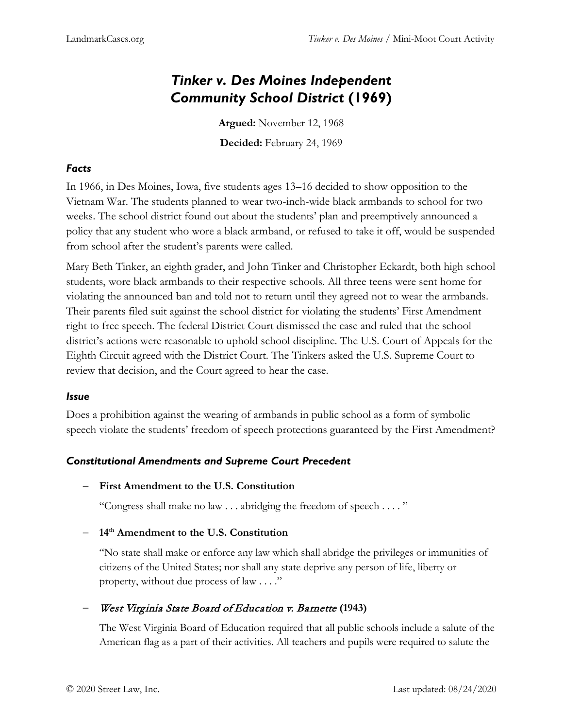# *Tinker v. Des Moines Independent Community School District* **(1969)**

**Argued:** November 12, 1968 **Decided:** February 24, 1969

## *Facts*

In 1966, in Des Moines, Iowa, five students ages 13–16 decided to show opposition to the Vietnam War. The students planned to wear two-inch-wide black armbands to school for two weeks. The school district found out about the students' plan and preemptively announced a policy that any student who wore a black armband, or refused to take it off, would be suspended from school after the student's parents were called.

Mary Beth Tinker, an eighth grader, and John Tinker and Christopher Eckardt, both high school students, wore black armbands to their respective schools. All three teens were sent home for violating the announced ban and told not to return until they agreed not to wear the armbands. Their parents filed suit against the school district for violating the students' First Amendment right to free speech. The federal District Court dismissed the case and ruled that the school district's actions were reasonable to uphold school discipline. The U.S. Court of Appeals for the Eighth Circuit agreed with the District Court. The Tinkers asked the U.S. Supreme Court to review that decision, and the Court agreed to hear the case.

### *Issue*

Does a prohibition against the wearing of armbands in public school as a form of symbolic speech violate the students' freedom of speech protections guaranteed by the First Amendment?

### *Constitutional Amendments and Supreme Court Precedent*

− **First Amendment to the U.S. Constitution**

"Congress shall make no law . . . abridging the freedom of speech . . . . "

− **14th Amendment to the U.S. Constitution** 

"No state shall make or enforce any law which shall abridge the privileges or immunities of citizens of the United States; nor shall any state deprive any person of life, liberty or property, without due process of law . . . ."

− West Virginia State Board of Education v. Barnette **(1943)**

The West Virginia Board of Education required that all public schools include a salute of the American flag as a part of their activities. All teachers and pupils were required to salute the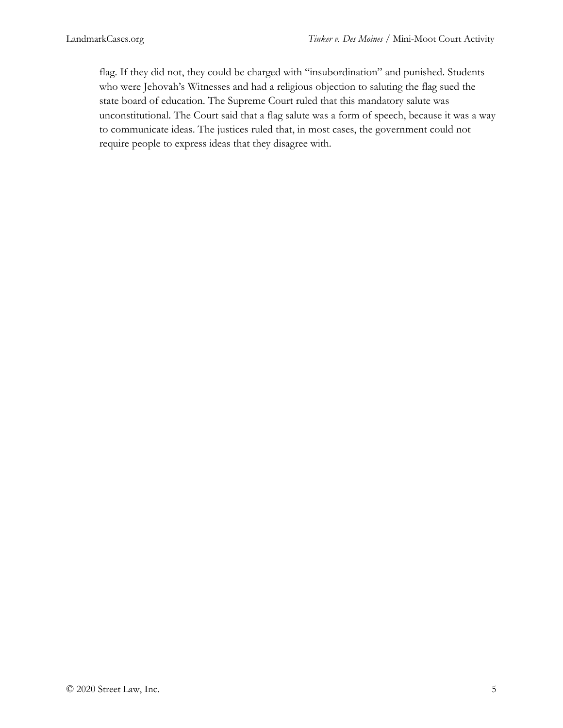flag. If they did not, they could be charged with "insubordination" and punished. Students who were Jehovah's Witnesses and had a religious objection to saluting the flag sued the state board of education. The Supreme Court ruled that this mandatory salute was unconstitutional. The Court said that a flag salute was a form of speech, because it was a way to communicate ideas. The justices ruled that, in most cases, the government could not require people to express ideas that they disagree with.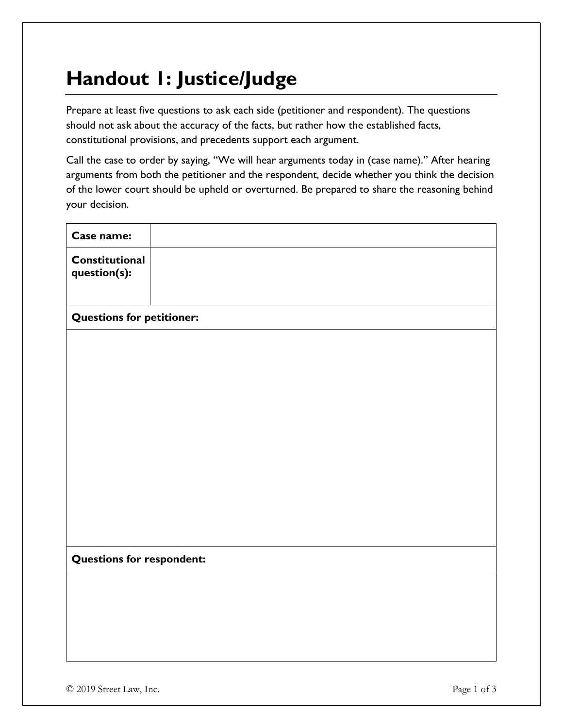# **Handout 1: Justice/Judge**

Prepare at least five questions to ask each side (petitioner and respondent). The questions should not ask about the accuracy of the facts, but rather how the established facts, constitutional provisions, and precedents support each argument.

Call the case to order by saying, "We will hear arguments today in (case name)." After hearing arguments from both the petitioner and the respondent, decide whether you think the decision of the lower court should be upheld or overturned. Be prepared to share the reasoning behind your decision.

| Case name:                       |  |
|----------------------------------|--|
| Constitutional<br>question(s):   |  |
| <b>Questions for petitioner:</b> |  |
|                                  |  |
|                                  |  |
|                                  |  |
|                                  |  |
|                                  |  |
|                                  |  |
|                                  |  |
|                                  |  |
| <b>Questions for respondent:</b> |  |
|                                  |  |
|                                  |  |
|                                  |  |
|                                  |  |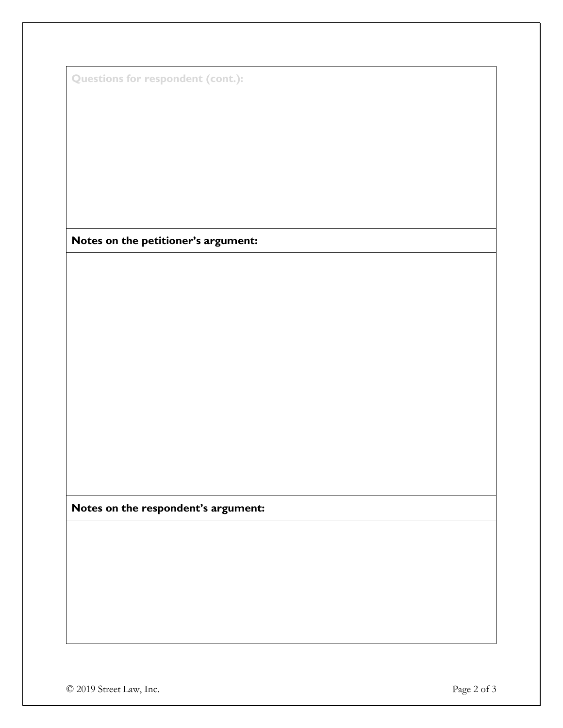|  | <b>Questions for respondent (cont.):</b> |  |
|--|------------------------------------------|--|

**Notes on the petitioner's argument:**

**Notes on the respondent's argument:**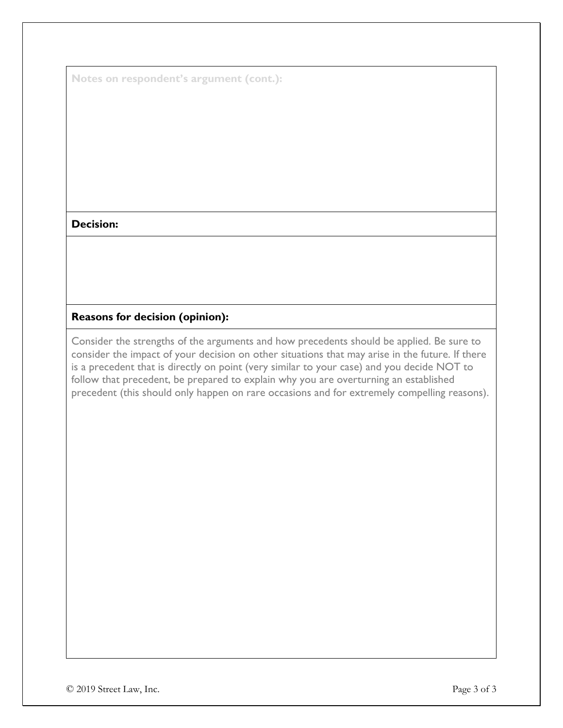**Notes on respondent's argument (cont.):**

### **Decision:**

### **Reasons for decision (opinion):**

Consider the strengths of the arguments and how precedents should be applied. Be sure to consider the impact of your decision on other situations that may arise in the future. If there is a precedent that is directly on point (very similar to your case) and you decide NOT to follow that precedent, be prepared to explain why you are overturning an established precedent (this should only happen on rare occasions and for extremely compelling reasons).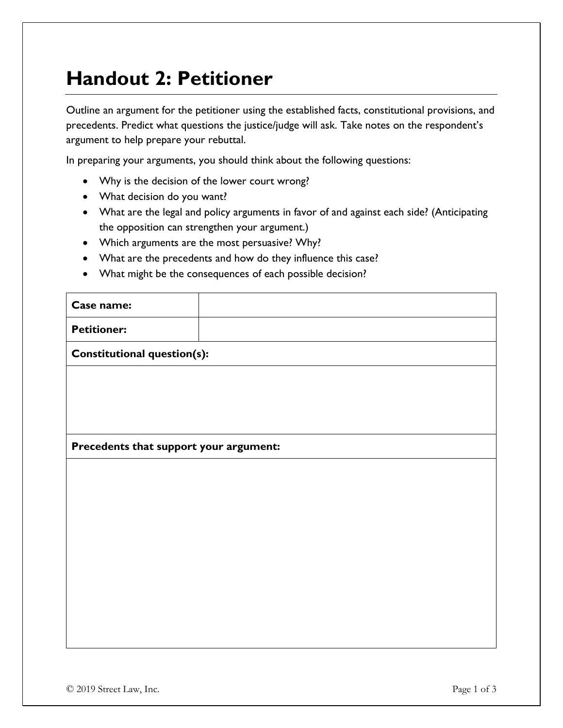# **Handout 2: Petitioner**

Outline an argument for the petitioner using the established facts, constitutional provisions, and precedents. Predict what questions the justice/judge will ask. Take notes on the respondent's argument to help prepare your rebuttal.

In preparing your arguments, you should think about the following questions:

- Why is the decision of the lower court wrong?
- What decision do you want?
- What are the legal and policy arguments in favor of and against each side? (Anticipating the opposition can strengthen your argument.)
- Which arguments are the most persuasive? Why?
- What are the precedents and how do they influence this case?
- What might be the consequences of each possible decision?

| Case name:                             |  |  |
|----------------------------------------|--|--|
| <b>Petitioner:</b>                     |  |  |
| Constitutional question(s):            |  |  |
|                                        |  |  |
|                                        |  |  |
|                                        |  |  |
| Precedents that support your argument: |  |  |
|                                        |  |  |
|                                        |  |  |
|                                        |  |  |
|                                        |  |  |
|                                        |  |  |
|                                        |  |  |
|                                        |  |  |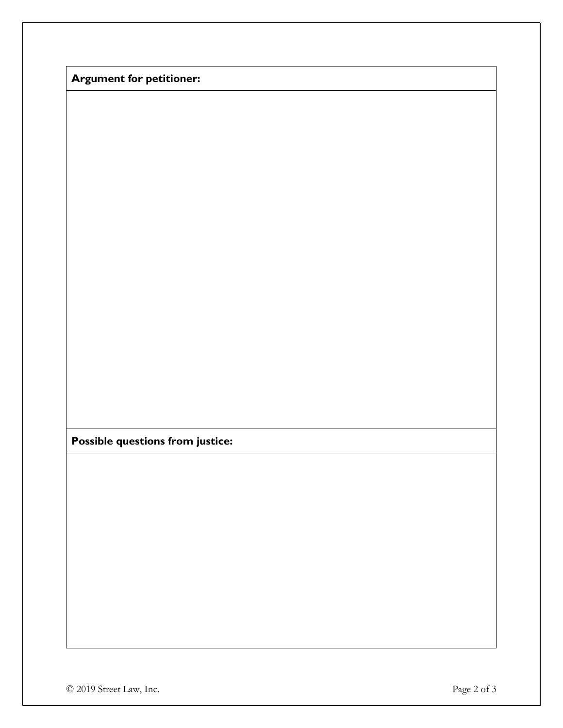**Argument for petitioner:**

**Possible questions from justice:**

© 2019 Street Law, Inc. Page 2 of 3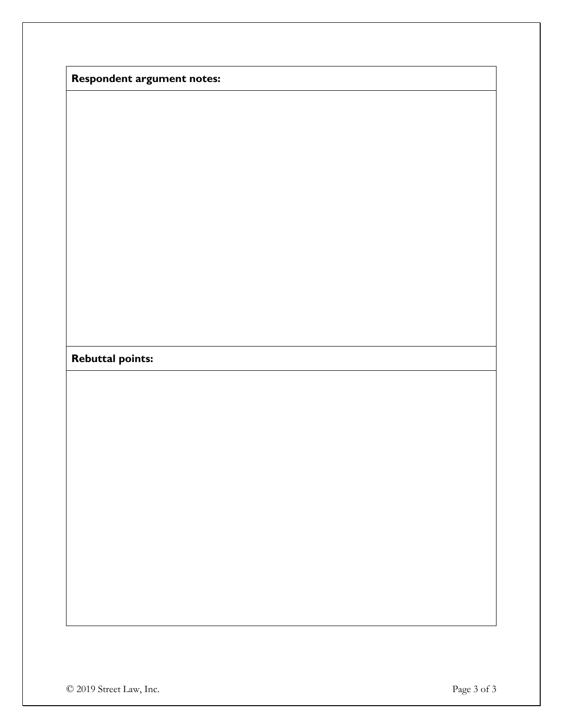|  | <b>Respondent argument notes:</b> |
|--|-----------------------------------|
|--|-----------------------------------|

## **Rebuttal points:**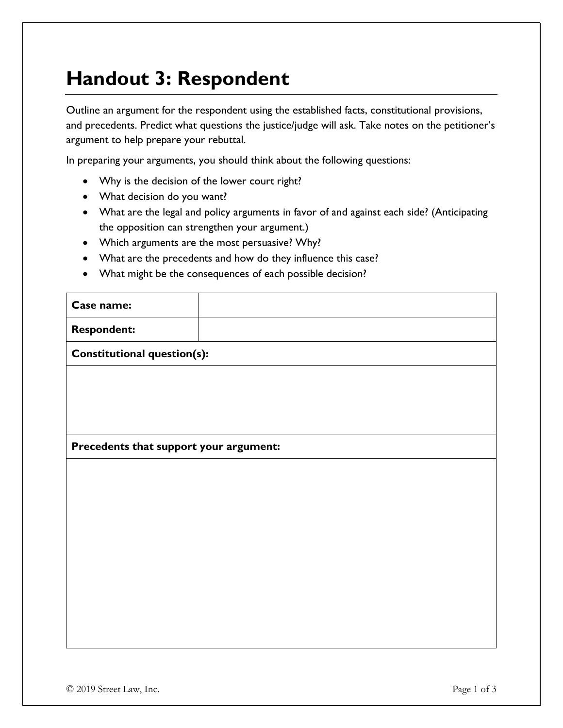# **Handout 3: Respondent**

Outline an argument for the respondent using the established facts, constitutional provisions, and precedents. Predict what questions the justice/judge will ask. Take notes on the petitioner's argument to help prepare your rebuttal.

In preparing your arguments, you should think about the following questions:

- Why is the decision of the lower court right?
- What decision do you want?
- What are the legal and policy arguments in favor of and against each side? (Anticipating the opposition can strengthen your argument.)
- Which arguments are the most persuasive? Why?
- What are the precedents and how do they influence this case?
- What might be the consequences of each possible decision?

| Case name:                             |  |
|----------------------------------------|--|
| <b>Respondent:</b>                     |  |
| <b>Constitutional question(s):</b>     |  |
|                                        |  |
|                                        |  |
|                                        |  |
| Precedents that support your argument: |  |
|                                        |  |
|                                        |  |
|                                        |  |
|                                        |  |
|                                        |  |
|                                        |  |
|                                        |  |
|                                        |  |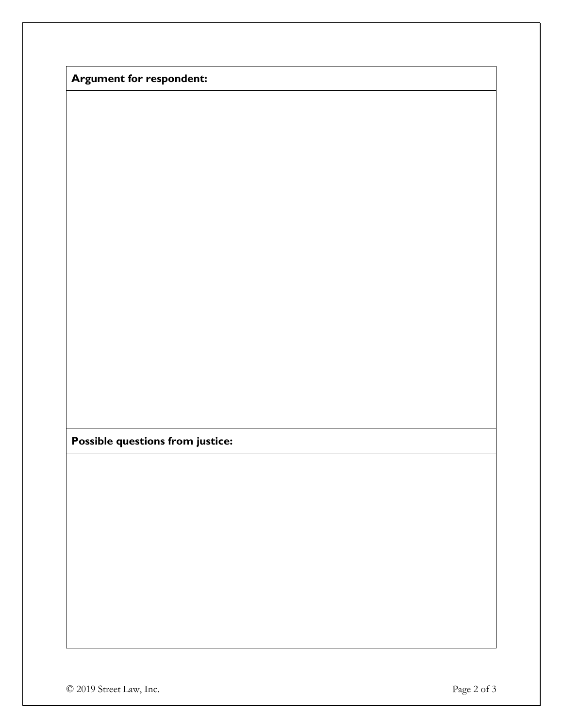**Argument for respondent:**

**Possible questions from justice:**

© 2019 Street Law, Inc. Page 2 of 3